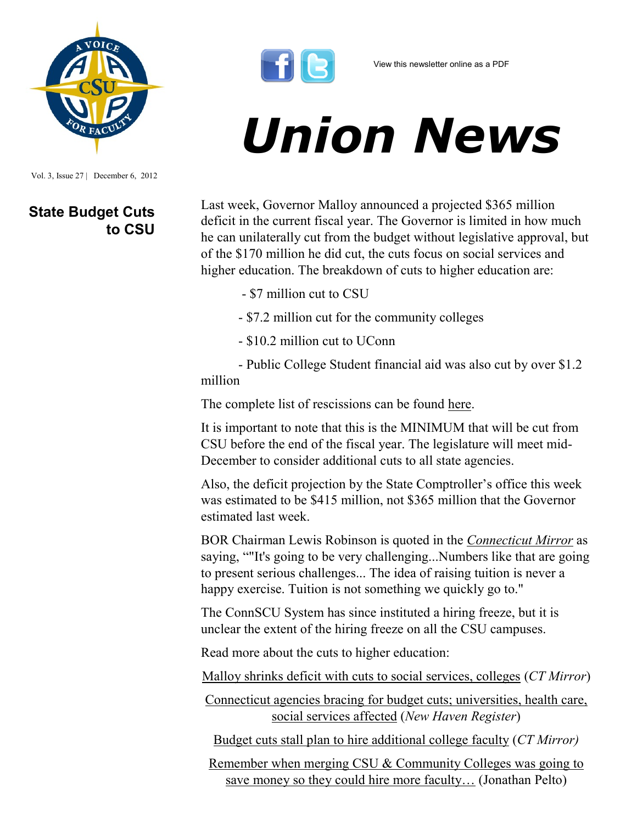Vol. 3, Issue 27 | December 6, 2012

## **State Budget Cuts to CSU**



## *Union News*

Last week, Governor Malloy announced a projected \$365 million deficit in the current fiscal year. The Governor is limited in how much he can unilaterally cut from the budget without legislative approval, but of the \$170 million he did cut, the cuts focus on social services and higher education. The breakdown of cuts to higher education are:

- \$7 million cut to CSU
- \$7.2 million cut for the community colleges
- \$10.2 million cut to UConn

- Public College Student financial aid was also cut by over \$1.2 million

The complete list of rescissions can be found [here.](http://www.ct.gov/opm/lib/opm/budget/2012_2013_biennial_budget/DeficitMitigationPlan/RescissionTransmittalMemo_11282012.pdf)

It is important to note that this is the MINIMUM that will be cut from CSU before the end of the fiscal year. The legislature will meet mid-December to consider additional cuts to all state agencies.

Also, the deficit projection by the State Comptroller's office this week was estimated to be \$415 million, not \$365 million that the Governor estimated last week.

BOR Chairman Lewis Robinson is quoted in the *[Connecticut Mirror](http://www.ctmirror.org/story/18305/malloy-hits-social-services-higher-education-he-slashes-deficit-one-third)* as saying, ""It's going to be very challenging...Numbers like that are going to present serious challenges... The idea of raising tuition is never a happy exercise. Tuition is not something we quickly go to."

The ConnSCU System has since instituted a hiring freeze, but it is unclear the extent of the hiring freeze on all the CSU campuses.

Read more about the cuts to higher education:

[Malloy shrinks deficit with cuts to social services, colleges](http://www.ctmirror.org/story/18305/malloy-hits-social-services-higher-education-he-slashes-deficit-one-third) (*CT Mirror*)

[Connecticut agencies bracing for budget cuts; universities, health care,](http://nhregister.com/articles/2012/11/29/news/doc50b831c21d29e365918978.txt#.ULi33Qq8f1s.twitter)  [social services affected](http://nhregister.com/articles/2012/11/29/news/doc50b831c21d29e365918978.txt#.ULi33Qq8f1s.twitter) (*New Haven Register*)

[Budget cuts stall plan to hire additional college faculty](http://www.ctmirror.org/story/18367/state-deficit-stalls-promised-new-faculty-positions-higher-ed-shakeup) (*CT Mirror)*

[Remember when merging CSU & Community Colleges was going to](http://jonathanpelto.com/2012/12/05/remember-when-merging-csu-community-colleges-was-going-to-save-money-so-they-could-hire-more-faculty/)  [save money so they could hire more faculty…](http://jonathanpelto.com/2012/12/05/remember-when-merging-csu-community-colleges-was-going-to-save-money-so-they-could-hire-more-faculty/) (Jonathan Pelto)